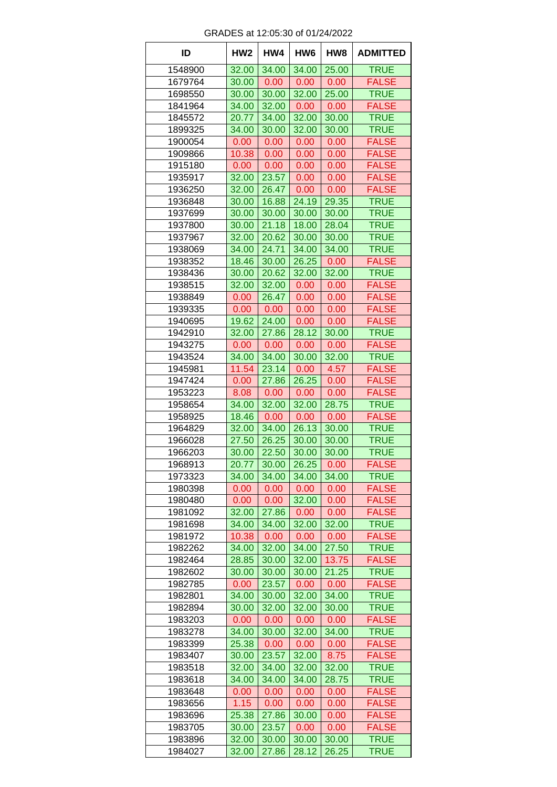| GRADES at 12:05:30 of 01/24/2022 |
|----------------------------------|
|----------------------------------|

| ID      | HW <sub>2</sub> | HW4   | HW <sub>6</sub> | HW8   | <b>ADMITTED</b> |
|---------|-----------------|-------|-----------------|-------|-----------------|
| 1548900 | 32.00           | 34.00 | 34.00           | 25.00 | <b>TRUE</b>     |
| 1679764 | 30.00           | 0.00  | 0.00            | 0.00  | <b>FALSE</b>    |
| 1698550 | 30.00           | 30.00 | 32.00           | 25.00 | <b>TRUE</b>     |
| 1841964 | 34.00           | 32.00 | 0.00            | 0.00  | <b>FALSE</b>    |
| 1845572 | 20.77           | 34.00 | 32.00           | 30.00 | <b>TRUE</b>     |
| 1899325 | 34.00           | 30.00 | 32.00           | 30.00 | <b>TRUE</b>     |
| 1900054 | 0.00            | 0.00  | 0.00            | 0.00  | <b>FALSE</b>    |
| 1909866 | 10.38           | 0.00  | 0.00            | 0.00  | <b>FALSE</b>    |
| 1915180 | 0.00            | 0.00  | 0.00            | 0.00  | <b>FALSE</b>    |
| 1935917 | 32.00           | 23.57 | 0.00            | 0.00  | <b>FALSE</b>    |
| 1936250 | 32.00           | 26.47 | 0.00            | 0.00  | <b>FALSE</b>    |
| 1936848 | 30.00           | 16.88 | 24.19           | 29.35 | <b>TRUE</b>     |
| 1937699 | 30.00           | 30.00 | 30.00           | 30.00 | <b>TRUE</b>     |
| 1937800 | 30.00           | 21.18 | 18.00           | 28.04 | <b>TRUE</b>     |
| 1937967 | 32.00           | 20.62 | 30.00           | 30.00 | <b>TRUE</b>     |
| 1938069 | 34.00           | 24.71 | 34.00           | 34.00 | <b>TRUE</b>     |
| 1938352 | 18.46           | 30.00 | 26.25           | 0.00  | <b>FALSE</b>    |
| 1938436 | 30.00           | 20.62 | 32.00           | 32.00 | <b>TRUE</b>     |
| 1938515 | 32.00           | 32.00 | 0.00            | 0.00  | <b>FALSE</b>    |
| 1938849 | 0.00            | 26.47 | 0.00            | 0.00  | <b>FALSE</b>    |
| 1939335 | 0.00            | 0.00  | 0.00            | 0.00  | <b>FALSE</b>    |
| 1940695 | 19.62           | 24.00 | 0.00            | 0.00  | <b>FALSE</b>    |
|         | 32.00           |       |                 |       |                 |
| 1942910 |                 | 27.86 | 28.12           | 30.00 | <b>TRUE</b>     |
| 1943275 | 0.00            | 0.00  | 0.00            | 0.00  | <b>FALSE</b>    |
| 1943524 | 34.00           | 34.00 | 30.00           | 32.00 | <b>TRUE</b>     |
| 1945981 | 11.54           | 23.14 | 0.00            | 4.57  | <b>FALSE</b>    |
| 1947424 | 0.00            | 27.86 | 26.25           | 0.00  | <b>FALSE</b>    |
| 1953223 | 8.08            | 0.00  | 0.00            | 0.00  | <b>FALSE</b>    |
| 1958654 | 34.00           | 32.00 | 32.00           | 28.75 | <b>TRUE</b>     |
| 1958925 | 18.46           | 0.00  | 0.00            | 0.00  | <b>FALSE</b>    |
| 1964829 | 32.00           | 34.00 | 26.13           | 30.00 | <b>TRUE</b>     |
| 1966028 | 27.50           | 26.25 | 30.00           | 30.00 | <b>TRUE</b>     |
| 1966203 | 30.00           | 22.50 | 30.00           | 30.00 | <b>TRUE</b>     |
| 1968913 | 20.77           | 30.00 | 26.25           | 0.00  | <b>FALSE</b>    |
| 1973323 | 34.00           | 34.00 | 34.00           | 34.00 | <b>TRUE</b>     |
| 1980398 | 0.00            | 0.00  | 0.00            | 0.00  | <b>FALSE</b>    |
| 1980480 | 0.00            | 0.00  | 32.00           | 0.00  | <b>FALSE</b>    |
| 1981092 | 32.00           | 27.86 | 0.00            | 0.00  | <b>FALSE</b>    |
| 1981698 | 34.00           | 34.00 | 32.00           | 32.00 | <b>TRUE</b>     |
| 1981972 | 10.38           | 0.00  | 0.00            | 0.00  | <b>FALSE</b>    |
| 1982262 | 34.00           | 32.00 | 34.00           | 27.50 | <b>TRUE</b>     |
| 1982464 | 28.85           | 30.00 | 32.00           | 13.75 | <b>FALSE</b>    |
| 1982602 | 30.00           | 30.00 | 30.00           | 21.25 | <b>TRUE</b>     |
| 1982785 | 0.00            | 23.57 | 0.00            | 0.00  | <b>FALSE</b>    |
| 1982801 | 34.00           | 30.00 | 32.00           | 34.00 | <b>TRUE</b>     |
| 1982894 | 30.00           | 32.00 | 32.00           | 30.00 | <b>TRUE</b>     |
| 1983203 | 0.00            | 0.00  | 0.00            | 0.00  | <b>FALSE</b>    |
| 1983278 | 34.00           | 30.00 | 32.00           | 34.00 | <b>TRUE</b>     |
| 1983399 | 25.38           | 0.00  | 0.00            | 0.00  | <b>FALSE</b>    |
| 1983407 | 30.00           | 23.57 | 32.00           | 8.75  | <b>FALSE</b>    |
| 1983518 | 32.00           | 34.00 | 32.00           | 32.00 | <b>TRUE</b>     |
| 1983618 | 34.00           | 34.00 | 34.00           | 28.75 | <b>TRUE</b>     |
| 1983648 | 0.00            | 0.00  | 0.00            | 0.00  | <b>FALSE</b>    |
| 1983656 | 1.15            | 0.00  | 0.00            | 0.00  | <b>FALSE</b>    |
| 1983696 | 25.38           | 27.86 | 30.00           | 0.00  | <b>FALSE</b>    |
| 1983705 | 30.00           | 23.57 | 0.00            | 0.00  | <b>FALSE</b>    |
| 1983896 | 32.00           | 30.00 | 30.00           | 30.00 | <b>TRUE</b>     |
| 1984027 | 32.00           | 27.86 | 28.12           | 26.25 | <b>TRUE</b>     |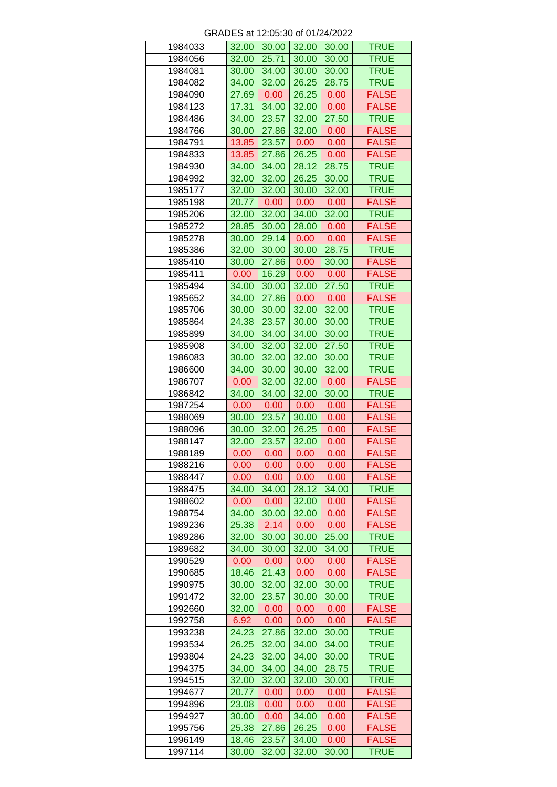## GRADES at 12:05:30 of 01/24/2022

| 1984033 | 32.00 | 30.00 | 32.00 | 30.00 | <b>TRUE</b>  |
|---------|-------|-------|-------|-------|--------------|
| 1984056 | 32.00 | 25.71 | 30.00 | 30.00 | <b>TRUE</b>  |
| 1984081 | 30.00 | 34.00 | 30.00 | 30.00 | <b>TRUE</b>  |
| 1984082 | 34.00 | 32.00 | 26.25 | 28.75 | <b>TRUE</b>  |
| 1984090 | 27.69 | 0.00  | 26.25 | 0.00  | <b>FALSE</b> |
| 1984123 | 17.31 | 34.00 | 32.00 | 0.00  | <b>FALSE</b> |
| 1984486 | 34.00 | 23.57 | 32.00 | 27.50 | <b>TRUE</b>  |
| 1984766 | 30.00 | 27.86 | 32.00 | 0.00  | <b>FALSE</b> |
|         |       |       |       |       |              |
| 1984791 | 13.85 | 23.57 | 0.00  | 0.00  | <b>FALSE</b> |
| 1984833 | 13.85 | 27.86 | 26.25 | 0.00  | <b>FALSE</b> |
| 1984930 | 34.00 | 34.00 | 28.12 | 28.75 | <b>TRUE</b>  |
| 1984992 | 32.00 | 32.00 | 26.25 | 30.00 | <b>TRUE</b>  |
| 1985177 | 32.00 | 32.00 | 30.00 | 32.00 | <b>TRUE</b>  |
| 1985198 | 20.77 | 0.00  | 0.00  | 0.00  | <b>FALSE</b> |
| 1985206 | 32.00 | 32.00 | 34.00 | 32.00 | <b>TRUE</b>  |
| 1985272 | 28.85 | 30.00 | 28.00 | 0.00  | <b>FALSE</b> |
| 1985278 | 30.00 | 29.14 | 0.00  | 0.00  | <b>FALSE</b> |
| 1985386 | 32.00 | 30.00 | 30.00 | 28.75 | <b>TRUE</b>  |
| 1985410 | 30.00 | 27.86 | 0.00  | 30.00 | <b>FALSE</b> |
| 1985411 | 0.00  | 16.29 | 0.00  | 0.00  | <b>FALSE</b> |
| 1985494 | 34.00 | 30.00 | 32.00 | 27.50 | <b>TRUE</b>  |
|         |       |       |       |       |              |
| 1985652 | 34.00 | 27.86 | 0.00  | 0.00  | <b>FALSE</b> |
| 1985706 | 30.00 | 30.00 | 32.00 | 32.00 | <b>TRUE</b>  |
| 1985864 | 24.38 | 23.57 | 30.00 | 30.00 | <b>TRUE</b>  |
| 1985899 | 34.00 | 34.00 | 34.00 | 30.00 | <b>TRUE</b>  |
| 1985908 | 34.00 | 32.00 | 32.00 | 27.50 | <b>TRUE</b>  |
| 1986083 | 30.00 | 32.00 | 32.00 | 30.00 | <b>TRUE</b>  |
| 1986600 | 34.00 | 30.00 | 30.00 | 32.00 | <b>TRUE</b>  |
| 1986707 | 0.00  | 32.00 | 32.00 | 0.00  | <b>FALSE</b> |
| 1986842 | 34.00 | 34.00 | 32.00 | 30.00 | <b>TRUE</b>  |
| 1987254 | 0.00  | 0.00  | 0.00  | 0.00  | <b>FALSE</b> |
| 1988069 | 30.00 | 23.57 | 30.00 | 0.00  | <b>FALSE</b> |
| 1988096 | 30.00 | 32.00 | 26.25 | 0.00  | <b>FALSE</b> |
| 1988147 | 32.00 | 23.57 | 32.00 | 0.00  | <b>FALSE</b> |
| 1988189 | 0.00  | 0.00  | 0.00  | 0.00  | <b>FALSE</b> |
| 1988216 | 0.00  | 0.00  | 0.00  | 0.00  | <b>FALSE</b> |
| 1988447 | 0.00  | 0.00  | 0.00  | 0.00  | <b>FALSE</b> |
|         |       |       |       | 34.00 |              |
| 1988475 | 34.00 | 34.00 | 28.12 |       | <b>TRUE</b>  |
| 1988602 | 0.00  | 0.00  | 32.00 | 0.00  | <b>FALSE</b> |
| 1988754 | 34.00 | 30.00 | 32.00 | 0.00  | <b>FALSE</b> |
| 1989236 | 25.38 | 2.14  | 0.00  | 0.00  | <b>FALSE</b> |
| 1989286 | 32.00 | 30.00 | 30.00 | 25.00 | <b>TRUE</b>  |
| 1989682 | 34.00 | 30.00 | 32.00 | 34.00 | <b>TRUE</b>  |
| 1990529 | 0.00  | 0.00  | 0.00  | 0.00  | <b>FALSE</b> |
| 1990685 | 18.46 | 21.43 | 0.00  | 0.00  | <b>FALSE</b> |
| 1990975 | 30.00 | 32.00 | 32.00 | 30.00 | <b>TRUE</b>  |
| 1991472 | 32.00 | 23.57 | 30.00 | 30.00 | <b>TRUE</b>  |
| 1992660 | 32.00 | 0.00  | 0.00  | 0.00  | <b>FALSE</b> |
| 1992758 | 6.92  | 0.00  | 0.00  | 0.00  | <b>FALSE</b> |
| 1993238 | 24.23 | 27.86 | 32.00 | 30.00 | <b>TRUE</b>  |
| 1993534 | 26.25 | 32.00 | 34.00 | 34.00 | <b>TRUE</b>  |
| 1993804 | 24.23 | 32.00 | 34.00 | 30.00 | <b>TRUE</b>  |
|         |       |       |       |       |              |
| 1994375 | 34.00 | 34.00 | 34.00 | 28.75 | <b>TRUE</b>  |
| 1994515 | 32.00 | 32.00 | 32.00 | 30.00 | <b>TRUE</b>  |
| 1994677 | 20.77 | 0.00  | 0.00  | 0.00  | <b>FALSE</b> |
| 1994896 | 23.08 | 0.00  | 0.00  | 0.00  | <b>FALSE</b> |
| 1994927 | 30.00 | 0.00  | 34.00 | 0.00  | <b>FALSE</b> |
| 1995756 | 25.38 | 27.86 | 26.25 | 0.00  | <b>FALSE</b> |
| 1996149 | 18.46 | 23.57 | 34.00 | 0.00  | <b>FALSE</b> |
| 1997114 | 30.00 | 32.00 | 32.00 | 30.00 | <b>TRUE</b>  |